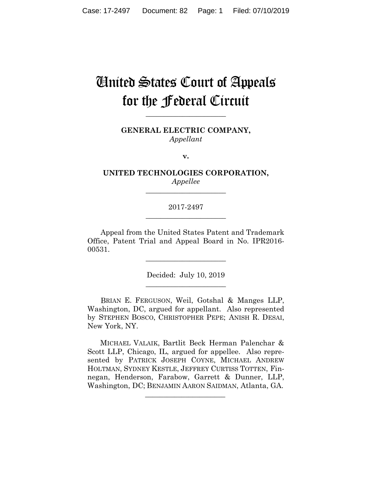# United States Court of Appeals for the Federal Circuit

**\_\_\_\_\_\_\_\_\_\_\_\_\_\_\_\_\_\_\_\_\_\_**

**GENERAL ELECTRIC COMPANY,** *Appellant*

**v.**

**UNITED TECHNOLOGIES CORPORATION,** *Appellee*

**\_\_\_\_\_\_\_\_\_\_\_\_\_\_\_\_\_\_\_\_\_\_**

# 2017-2497 **\_\_\_\_\_\_\_\_\_\_\_\_\_\_\_\_\_\_\_\_\_\_**

Appeal from the United States Patent and Trademark Office, Patent Trial and Appeal Board in No. IPR2016- 00531.

> Decided: July 10, 2019 **\_\_\_\_\_\_\_\_\_\_\_\_\_\_\_\_\_\_\_\_\_\_**

> **\_\_\_\_\_\_\_\_\_\_\_\_\_\_\_\_\_\_\_\_\_\_**

BRIAN E. FERGUSON, Weil, Gotshal & Manges LLP, Washington, DC, argued for appellant. Also represented by STEPHEN BOSCO, CHRISTOPHER PEPE; ANISH R. DESAI, New York, NY.

 MICHAEL VALAIK, Bartlit Beck Herman Palenchar & Scott LLP, Chicago, IL, argued for appellee. Also represented by PATRICK JOSEPH COYNE, MICHAEL ANDREW HOLTMAN, SYDNEY KESTLE, JEFFREY CURTISS TOTTEN, Finnegan, Henderson, Farabow, Garrett & Dunner, LLP, Washington, DC; BENJAMIN AARON SAIDMAN, Atlanta, GA.

 $\mathcal{L}_\text{max}$  and  $\mathcal{L}_\text{max}$  and  $\mathcal{L}_\text{max}$  and  $\mathcal{L}_\text{max}$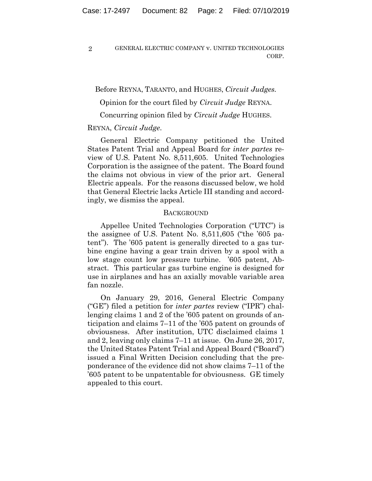Before REYNA, TARANTO, and HUGHES, *Circuit Judges.*

Opinion for the court filed by *Circuit Judge* REYNA.

Concurring opinion filed by *Circuit Judge* HUGHES.

#### REYNA, *Circuit Judge*.

General Electric Company petitioned the United States Patent Trial and Appeal Board for *inter partes* review of U.S. Patent No. 8,511,605. United Technologies Corporation is the assignee of the patent. The Board found the claims not obvious in view of the prior art. General Electric appeals. For the reasons discussed below, we hold that General Electric lacks Article III standing and accordingly, we dismiss the appeal.

#### **BACKGROUND**

Appellee United Technologies Corporation ("UTC") is the assignee of U.S. Patent No. 8,511,605 ("the '605 patent"). The '605 patent is generally directed to a gas turbine engine having a gear train driven by a spool with a low stage count low pressure turbine. '605 patent, Abstract. This particular gas turbine engine is designed for use in airplanes and has an axially movable variable area fan nozzle.

On January 29, 2016, General Electric Company ("GE") filed a petition for *inter partes* review ("IPR") challenging claims 1 and 2 of the '605 patent on grounds of anticipation and claims 7–11 of the '605 patent on grounds of obviousness. After institution, UTC disclaimed claims 1 and 2, leaving only claims 7–11 at issue. On June 26, 2017, the United States Patent Trial and Appeal Board ("Board") issued a Final Written Decision concluding that the preponderance of the evidence did not show claims 7–11 of the '605 patent to be unpatentable for obviousness. GE timely appealed to this court.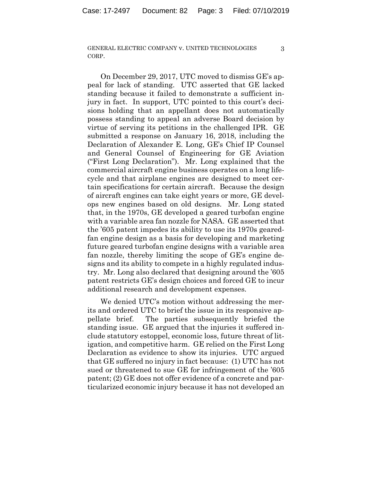3

On December 29, 2017, UTC moved to dismiss GE's appeal for lack of standing. UTC asserted that GE lacked standing because it failed to demonstrate a sufficient injury in fact. In support, UTC pointed to this court's decisions holding that an appellant does not automatically possess standing to appeal an adverse Board decision by virtue of serving its petitions in the challenged IPR. GE submitted a response on January 16, 2018, including the Declaration of Alexander E. Long, GE's Chief IP Counsel and General Counsel of Engineering for GE Aviation ("First Long Declaration"). Mr. Long explained that the commercial aircraft engine business operates on a long lifecycle and that airplane engines are designed to meet certain specifications for certain aircraft. Because the design of aircraft engines can take eight years or more, GE develops new engines based on old designs. Mr. Long stated that, in the 1970s, GE developed a geared turbofan engine with a variable area fan nozzle for NASA. GE asserted that the '605 patent impedes its ability to use its 1970s gearedfan engine design as a basis for developing and marketing future geared turbofan engine designs with a variable area fan nozzle, thereby limiting the scope of GE's engine designs and its ability to compete in a highly regulated industry. Mr. Long also declared that designing around the '605 patent restricts GE's design choices and forced GE to incur additional research and development expenses.

We denied UTC's motion without addressing the merits and ordered UTC to brief the issue in its responsive appellate brief. The parties subsequently briefed the standing issue. GE argued that the injuries it suffered include statutory estoppel, economic loss, future threat of litigation, and competitive harm. GE relied on the First Long Declaration as evidence to show its injuries. UTC argued that GE suffered no injury in fact because: (1) UTC has not sued or threatened to sue GE for infringement of the '605 patent; (2) GE does not offer evidence of a concrete and particularized economic injury because it has not developed an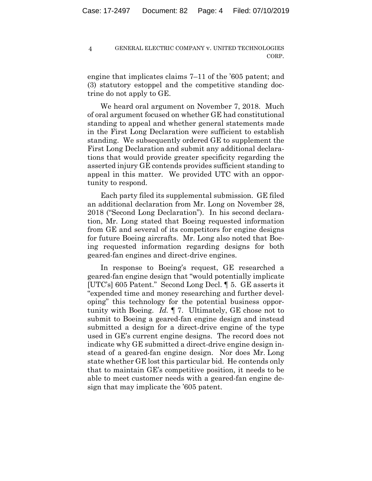engine that implicates claims 7–11 of the '605 patent; and (3) statutory estoppel and the competitive standing doctrine do not apply to GE.

We heard oral argument on November 7, 2018. Much of oral argument focused on whether GE had constitutional standing to appeal and whether general statements made in the First Long Declaration were sufficient to establish standing. We subsequently ordered GE to supplement the First Long Declaration and submit any additional declarations that would provide greater specificity regarding the asserted injury GE contends provides sufficient standing to appeal in this matter. We provided UTC with an opportunity to respond.

Each party filed its supplemental submission. GE filed an additional declaration from Mr. Long on November 28, 2018 ("Second Long Declaration"). In his second declaration, Mr. Long stated that Boeing requested information from GE and several of its competitors for engine designs for future Boeing aircrafts. Mr. Long also noted that Boeing requested information regarding designs for both geared-fan engines and direct-drive engines.

In response to Boeing's request, GE researched a geared-fan engine design that "would potentially implicate [UTC's] 605 Patent." Second Long Decl. ¶ 5. GE asserts it "expended time and money researching and further developing" this technology for the potential business opportunity with Boeing. *Id.* ¶ 7. Ultimately, GE chose not to submit to Boeing a geared-fan engine design and instead submitted a design for a direct-drive engine of the type used in GE's current engine designs. The record does not indicate why GE submitted a direct-drive engine design instead of a geared-fan engine design. Nor does Mr. Long state whether GE lost this particular bid. He contends only that to maintain GE's competitive position, it needs to be able to meet customer needs with a geared-fan engine design that may implicate the '605 patent.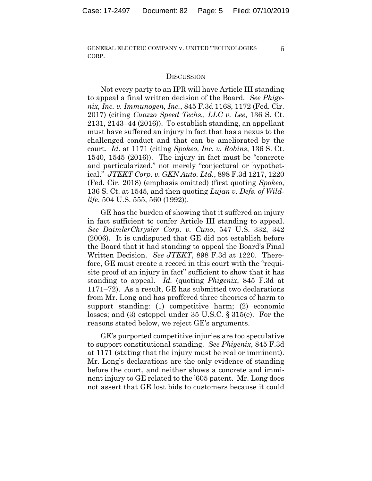5

# **DISCUSSION**

Not every party to an IPR will have Article III standing to appeal a final written decision of the Board. *See Phigenix, Inc. v. Immunogen, Inc.*, 845 F.3d 1168, 1172 (Fed. Cir. 2017) (citing *Cuozzo Speed Techs., LLC v. Lee*, 136 S. Ct. 2131, 2143–44 (2016)). To establish standing, an appellant must have suffered an injury in fact that has a nexus to the challenged conduct and that can be ameliorated by the court. *Id.* at 1171 (citing *Spokeo, Inc. v. Robins*, 136 S. Ct. 1540, 1545 (2016)). The injury in fact must be "concrete and particularized," not merely "conjectural or hypothetical." *JTEKT Corp. v. GKN Auto. Ltd.*, 898 F.3d 1217, 1220 (Fed. Cir. 2018) (emphasis omitted) (first quoting *Spokeo*, 136 S. Ct. at 1545, and then quoting *Lujan v. Defs. of Wildlife*, 504 U.S. 555, 560 (1992)).

GE has the burden of showing that it suffered an injury in fact sufficient to confer Article III standing to appeal. *See DaimlerChrysler Corp. v. Cuno*, 547 U.S. 332, 342 (2006). It is undisputed that GE did not establish before the Board that it had standing to appeal the Board's Final Written Decision. *See JTEKT*, 898 F.3d at 1220. Therefore, GE must create a record in this court with the "requisite proof of an injury in fact" sufficient to show that it has standing to appeal. *Id.* (quoting *Phigenix*, 845 F.3d at 1171–72). As a result, GE has submitted two declarations from Mr. Long and has proffered three theories of harm to support standing: (1) competitive harm; (2) economic losses; and (3) estoppel under 35 U.S.C. § 315(e). For the reasons stated below, we reject GE's arguments.

GE's purported competitive injuries are too speculative to support constitutional standing. *See Phigenix*, 845 F.3d at 1171 (stating that the injury must be real or imminent). Mr. Long's declarations are the only evidence of standing before the court, and neither shows a concrete and imminent injury to GE related to the '605 patent. Mr. Long does not assert that GE lost bids to customers because it could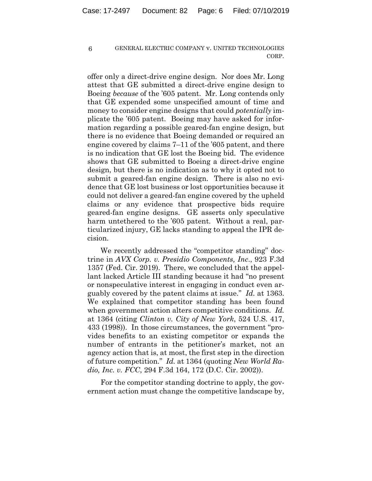offer only a direct-drive engine design. Nor does Mr. Long attest that GE submitted a direct-drive engine design to Boeing *because* of the '605 patent. Mr. Long contends only that GE expended some unspecified amount of time and money to consider engine designs that could *potentially* implicate the '605 patent. Boeing may have asked for information regarding a possible geared-fan engine design, but there is no evidence that Boeing demanded or required an engine covered by claims 7–11 of the '605 patent, and there is no indication that GE lost the Boeing bid. The evidence shows that GE submitted to Boeing a direct-drive engine design, but there is no indication as to why it opted not to submit a geared-fan engine design. There is also no evidence that GE lost business or lost opportunities because it could not deliver a geared-fan engine covered by the upheld claims or any evidence that prospective bids require geared-fan engine designs. GE asserts only speculative harm untethered to the '605 patent. Without a real, particularized injury, GE lacks standing to appeal the IPR decision.

We recently addressed the "competitor standing" doctrine in *AVX Corp. v. Presidio Components, Inc*., 923 F.3d 1357 (Fed. Cir. 2019). There, we concluded that the appellant lacked Article III standing because it had "no present or nonspeculative interest in engaging in conduct even arguably covered by the patent claims at issue." *Id.* at 1363. We explained that competitor standing has been found when government action alters competitive conditions. *Id.* at 1364 (citing *Clinton v. City of New York*, 524 U.S. 417, 433 (1998)). In those circumstances, the government "provides benefits to an existing competitor or expands the number of entrants in the petitioner's market, not an agency action that is, at most, the first step in the direction of future competition." *Id.* at 1364 (quoting *New World Radio, Inc. v. FCC*, 294 F.3d 164, 172 (D.C. Cir. 2002)).

For the competitor standing doctrine to apply, the government action must change the competitive landscape by,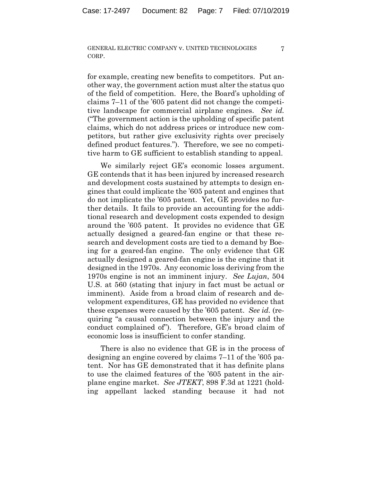7

for example, creating new benefits to competitors. Put another way, the government action must alter the status quo of the field of competition. Here, the Board's upholding of claims 7–11 of the '605 patent did not change the competitive landscape for commercial airplane engines. *See id.* ("The government action is the upholding of specific patent claims, which do not address prices or introduce new competitors, but rather give exclusivity rights over precisely defined product features."). Therefore, we see no competitive harm to GE sufficient to establish standing to appeal.

We similarly reject GE's economic losses argument. GE contends that it has been injured by increased research and development costs sustained by attempts to design engines that could implicate the '605 patent and engines that do not implicate the '605 patent. Yet, GE provides no further details. It fails to provide an accounting for the additional research and development costs expended to design around the '605 patent. It provides no evidence that GE actually designed a geared-fan engine or that these research and development costs are tied to a demand by Boeing for a geared-fan engine. The only evidence that GE actually designed a geared-fan engine is the engine that it designed in the 1970s. Any economic loss deriving from the 1970s engine is not an imminent injury. *See Lujan*, 504 U.S. at 560 (stating that injury in fact must be actual or imminent). Aside from a broad claim of research and development expenditures, GE has provided no evidence that these expenses were caused by the '605 patent. *See id.* (requiring "a causal connection between the injury and the conduct complained of"). Therefore, GE's broad claim of economic loss is insufficient to confer standing.

There is also no evidence that GE is in the process of designing an engine covered by claims 7–11 of the '605 patent. Nor has GE demonstrated that it has definite plans to use the claimed features of the '605 patent in the airplane engine market. *See JTEKT*, 898 F.3d at 1221 (holding appellant lacked standing because it had not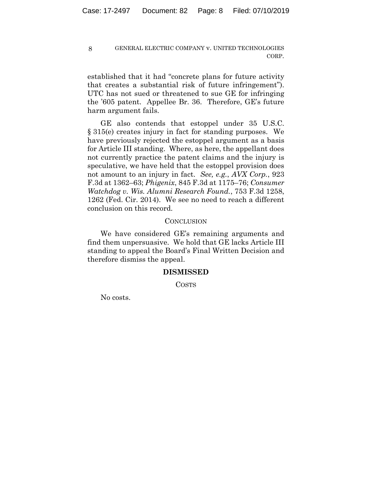established that it had "concrete plans for future activity that creates a substantial risk of future infringement"). UTC has not sued or threatened to sue GE for infringing the '605 patent. Appellee Br. 36. Therefore, GE's future harm argument fails.

GE also contends that estoppel under 35 U.S.C. § 315(e) creates injury in fact for standing purposes. We have previously rejected the estoppel argument as a basis for Article III standing. Where, as here, the appellant does not currently practice the patent claims and the injury is speculative, we have held that the estoppel provision does not amount to an injury in fact. *See, e.g.*, *AVX Corp.*, 923 F.3d at 1362–63; *Phigenix*, 845 F.3d at 1175–76; *Consumer Watchdog v. Wis. Alumni Research Found.*, 753 F.3d 1258, 1262 (Fed. Cir. 2014). We see no need to reach a different conclusion on this record.

### **CONCLUSION**

We have considered GE's remaining arguments and find them unpersuasive. We hold that GE lacks Article III standing to appeal the Board's Final Written Decision and therefore dismiss the appeal.

# **DISMISSED**

COSTS

No costs.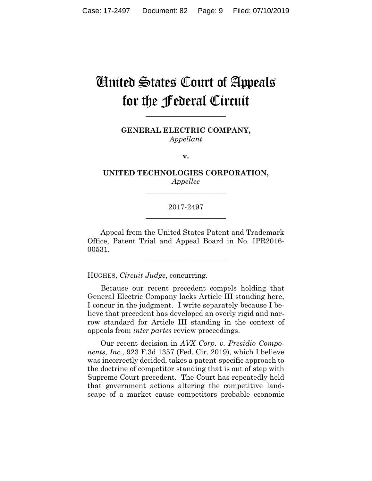# United States Court of Appeals for the Federal Circuit

**\_\_\_\_\_\_\_\_\_\_\_\_\_\_\_\_\_\_\_\_\_\_**

**GENERAL ELECTRIC COMPANY,** *Appellant*

**v.**

**UNITED TECHNOLOGIES CORPORATION,** *Appellee*

**\_\_\_\_\_\_\_\_\_\_\_\_\_\_\_\_\_\_\_\_\_\_**

# 2017-2497 **\_\_\_\_\_\_\_\_\_\_\_\_\_\_\_\_\_\_\_\_\_\_**

Appeal from the United States Patent and Trademark Office, Patent Trial and Appeal Board in No. IPR2016- 00531.

**\_\_\_\_\_\_\_\_\_\_\_\_\_\_\_\_\_\_\_\_\_\_**

HUGHES, *Circuit Judge*, concurring.

Because our recent precedent compels holding that General Electric Company lacks Article III standing here, I concur in the judgment. I write separately because I believe that precedent has developed an overly rigid and narrow standard for Article III standing in the context of appeals from *inter partes* review proceedings.

Our recent decision in *AVX Corp. v. Presidio Components, Inc.*, 923 F.3d 1357 (Fed. Cir. 2019), which I believe was incorrectly decided, takes a patent-specific approach to the doctrine of competitor standing that is out of step with Supreme Court precedent. The Court has repeatedly held that government actions altering the competitive landscape of a market cause competitors probable economic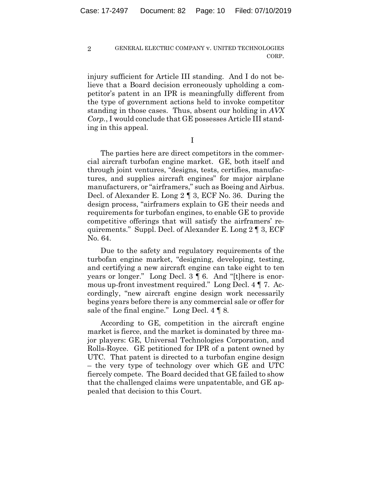injury sufficient for Article III standing. And I do not believe that a Board decision erroneously upholding a competitor's patent in an IPR is meaningfully different from the type of government actions held to invoke competitor standing in those cases. Thus, absent our holding in *AVX Corp.*, I would conclude that GE possesses Article III standing in this appeal.

I

The parties here are direct competitors in the commercial aircraft turbofan engine market. GE, both itself and through joint ventures, "designs, tests, certifies, manufactures, and supplies aircraft engines" for major airplane manufacturers, or "airframers," such as Boeing and Airbus. Decl. of Alexander E. Long 2 ¶ 3, ECF No. 36. During the design process, "airframers explain to GE their needs and requirements for turbofan engines, to enable GE to provide competitive offerings that will satisfy the airframers' requirements." Suppl. Decl. of Alexander E. Long 2 ¶ 3, ECF No. 64.

Due to the safety and regulatory requirements of the turbofan engine market, "designing, developing, testing, and certifying a new aircraft engine can take eight to ten years or longer." Long Decl. 3 ¶ 6. And "[t]here is enormous up-front investment required." Long Decl. 4 ¶ 7. Accordingly, "new aircraft engine design work necessarily begins years before there is any commercial sale or offer for sale of the final engine." Long Decl. 4 ¶ 8*.*

According to GE, competition in the aircraft engine market is fierce, and the market is dominated by three major players: GE, Universal Technologies Corporation, and Rolls-Royce. GE petitioned for IPR of a patent owned by UTC. That patent is directed to a turbofan engine design – the very type of technology over which GE and UTC fiercely compete. The Board decided that GE failed to show that the challenged claims were unpatentable, and GE appealed that decision to this Court.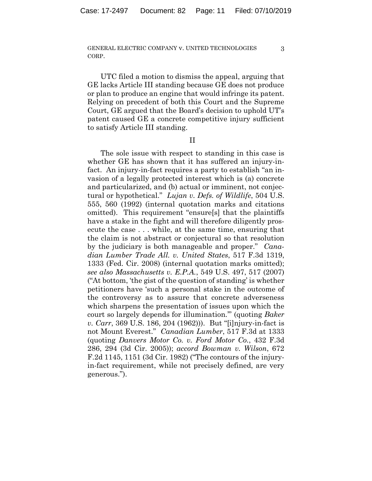3

UTC filed a motion to dismiss the appeal, arguing that GE lacks Article III standing because GE does not produce or plan to produce an engine that would infringe its patent. Relying on precedent of both this Court and the Supreme Court, GE argued that the Board's decision to uphold UT's patent caused GE a concrete competitive injury sufficient to satisfy Article III standing.

II

The sole issue with respect to standing in this case is whether GE has shown that it has suffered an injury-infact. An injury-in-fact requires a party to establish "an invasion of a legally protected interest which is (a) concrete and particularized, and (b) actual or imminent, not conjectural or hypothetical." *Lujan v. Defs. of Wildlife*, 504 U.S. 555, 560 (1992) (internal quotation marks and citations omitted). This requirement "ensure[s] that the plaintiffs have a stake in the fight and will therefore diligently prosecute the case . . . while, at the same time, ensuring that the claim is not abstract or conjectural so that resolution by the judiciary is both manageable and proper." *Canadian Lumber Trade All. v. United States*, 517 F.3d 1319, 1333 (Fed. Cir. 2008) (internal quotation marks omitted); *see also Massachusetts v. E.P.A.*, 549 U.S. 497, 517 (2007) ("At bottom, 'the gist of the question of standing' is whether petitioners have 'such a personal stake in the outcome of the controversy as to assure that concrete adverseness which sharpens the presentation of issues upon which the court so largely depends for illumination.'" (quoting *Baker v. Carr*, 369 U.S. 186, 204 (1962))). But "[i]njury-in-fact is not Mount Everest." *Canadian Lumber*, 517 F.3d at 1333 (quoting *Danvers Motor Co. v. Ford Motor Co.*, 432 F.3d 286, 294 (3d Cir. 2005)); *accord Bowman v. Wilson*, 672 F.2d 1145, 1151 (3d Cir. 1982) ("The contours of the injuryin-fact requirement, while not precisely defined, are very generous.").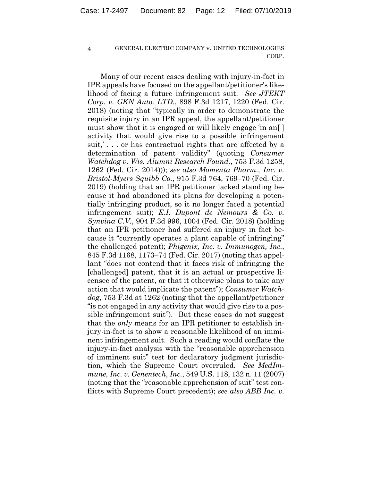Many of our recent cases dealing with injury-in-fact in IPR appeals have focused on the appellant/petitioner's likelihood of facing a future infringement suit. *See JTEKT Corp. v. GKN Auto. LTD.*, 898 F.3d 1217, 1220 (Fed. Cir. 2018) (noting that "typically in order to demonstrate the requisite injury in an IPR appeal, the appellant/petitioner must show that it is engaged or will likely engage 'in an[ ] activity that would give rise to a possible infringement suit,' . . . or has contractual rights that are affected by a determination of patent validity" (quoting *Consumer Watchdog v. Wis. Alumni Research Found.*, 753 F.3d 1258, 1262 (Fed. Cir. 2014))); *see also Momenta Pharm., Inc. v. Bristol-Myers Squibb Co.*, 915 F.3d 764, 769–70 (Fed. Cir. 2019) (holding that an IPR petitioner lacked standing because it had abandoned its plans for developing a potentially infringing product, so it no longer faced a potential infringement suit); *E.I. Dupont de Nemours & Co. v. Synvina C.V.*, 904 F.3d 996, 1004 (Fed. Cir. 2018) (holding that an IPR petitioner had suffered an injury in fact because it "currently operates a plant capable of infringing" the challenged patent); *Phigenix, Inc. v. Immunogen, Inc.*, 845 F.3d 1168, 1173–74 (Fed. Cir. 2017) (noting that appellant "does not contend that it faces risk of infringing the [challenged] patent, that it is an actual or prospective licensee of the patent, or that it otherwise plans to take any action that would implicate the patent"); *Consumer Watchdog*, 753 F.3d at 1262 (noting that the appellant/petitioner "is not engaged in any activity that would give rise to a possible infringement suit"). But these cases do not suggest that the *only* means for an IPR petitioner to establish injury-in-fact is to show a reasonable likelihood of an imminent infringement suit. Such a reading would conflate the injury-in-fact analysis with the "reasonable apprehension of imminent suit" test for declaratory judgment jurisdiction, which the Supreme Court overruled. *See MedImmune, Inc. v. Genentech, Inc.*, 549 U.S. 118, 132 n. 11 (2007) (noting that the "reasonable apprehension of suit" test conflicts with Supreme Court precedent); *see also ABB Inc. v.*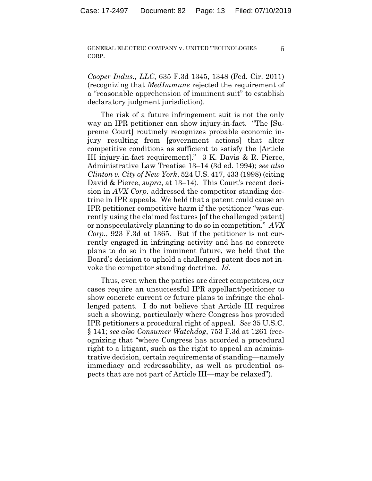5

*Cooper Indus., LLC*, 635 F.3d 1345, 1348 (Fed. Cir. 2011) (recognizing that *MedImmune* rejected the requirement of a "reasonable apprehension of imminent suit" to establish declaratory judgment jurisdiction).

The risk of a future infringement suit is not the only way an IPR petitioner can show injury-in-fact. "The [Supreme Court] routinely recognizes probable economic injury resulting from [government actions] that alter competitive conditions as sufficient to satisfy the [Article III injury-in-fact requirement]." 3 K. Davis & R. Pierce, Administrative Law Treatise 13–14 (3d ed. 1994); *see also Clinton v. City of New York*, 524 U.S. 417, 433 (1998) (citing David & Pierce, *supra*, at 13–14). This Court's recent decision in *AVX Corp.* addressed the competitor standing doctrine in IPR appeals*.* We held that a patent could cause an IPR petitioner competitive harm if the petitioner "was currently using the claimed features [of the challenged patent] or nonspeculatively planning to do so in competition." *AVX Corp.*, 923 F.3d at 1365. But if the petitioner is not currently engaged in infringing activity and has no concrete plans to do so in the imminent future, we held that the Board's decision to uphold a challenged patent does not invoke the competitor standing doctrine. *Id.*

Thus, even when the parties are direct competitors, our cases require an unsuccessful IPR appellant/petitioner to show concrete current or future plans to infringe the challenged patent. I do not believe that Article III requires such a showing, particularly where Congress has provided IPR petitioners a procedural right of appeal. *See* 35 U.S.C. § 141; *see also Consumer Watchdog*, 753 F.3d at 1261 (recognizing that "where Congress has accorded a procedural right to a litigant, such as the right to appeal an administrative decision, certain requirements of standing—namely immediacy and redressability, as well as prudential aspects that are not part of Article III—may be relaxed").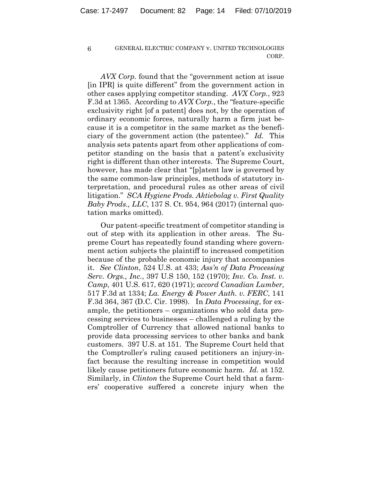*AVX Corp.* found that the "government action at issue [in IPR] is quite different" from the government action in other cases applying competitor standing. *AVX Corp.*, 923 F.3d at 1365. According to *AVX Corp.*, the "feature-specific exclusivity right [of a patent] does not, by the operation of ordinary economic forces, naturally harm a firm just because it is a competitor in the same market as the beneficiary of the government action (the patentee)." *Id.* This analysis sets patents apart from other applications of competitor standing on the basis that a patent's exclusivity right is different than other interests. The Supreme Court, however, has made clear that "[p]atent law is governed by the same common-law principles, methods of statutory interpretation, and procedural rules as other areas of civil litigation." *SCA Hygiene Prods. Aktiebolag v. First Quality Baby Prods., LLC*, 137 S. Ct. 954, 964 (2017) (internal quotation marks omitted).

Our patent-specific treatment of competitor standing is out of step with its application in other areas. The Supreme Court has repeatedly found standing where government action subjects the plaintiff to increased competition because of the probable economic injury that accompanies it. *See Clinton*, 524 U.S. at 433; *Ass'n of Data Processing Serv. Orgs., Inc.*, 397 U.S 150, 152 (1970); *Inv. Co. Inst. v. Camp*, 401 U.S. 617, 620 (1971); *accord Canadian Lumber*, 517 F.3d at 1334; *La. Energy & Power Auth. v. FERC*, 141 F.3d 364, 367 (D.C. Cir. 1998). In *Data Processing*, for example, the petitioners – organizations who sold data processing services to businesses – challenged a ruling by the Comptroller of Currency that allowed national banks to provide data processing services to other banks and bank customers. 397 U.S. at 151. The Supreme Court held that the Comptroller's ruling caused petitioners an injury-infact because the resulting increase in competition would likely cause petitioners future economic harm. *Id.* at 152. Similarly, in *Clinton* the Supreme Court held that a farmers' cooperative suffered a concrete injury when the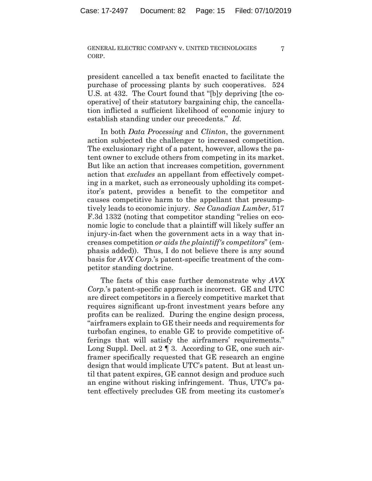7

president cancelled a tax benefit enacted to facilitate the purchase of processing plants by such cooperatives. 524 U.S. at 432. The Court found that "[b]y depriving [the cooperative] of their statutory bargaining chip, the cancellation inflicted a sufficient likelihood of economic injury to establish standing under our precedents." *Id.*

In both *Data Processing* and *Clinton*, the government action subjected the challenger to increased competition. The exclusionary right of a patent, however, allows the patent owner to exclude others from competing in its market. But like an action that increases competition, government action that *excludes* an appellant from effectively competing in a market, such as erroneously upholding its competitor's patent, provides a benefit to the competitor and causes competitive harm to the appellant that presumptively leads to economic injury. *See Canadian Lumber*, 517 F.3d 1332 (noting that competitor standing "relies on economic logic to conclude that a plaintiff will likely suffer an injury-in-fact when the government acts in a way that increases competition *or aids the plaintiff's competitors*" (emphasis added)). Thus, I do not believe there is any sound basis for *AVX Corp.*'s patent-specific treatment of the competitor standing doctrine.

The facts of this case further demonstrate why *AVX Corp.*'s patent-specific approach is incorrect. GE and UTC are direct competitors in a fiercely competitive market that requires significant up-front investment years before any profits can be realized. During the engine design process, "airframers explain to GE their needs and requirements for turbofan engines, to enable GE to provide competitive offerings that will satisfy the airframers' requirements." Long Suppl. Decl. at 2 | 3. According to GE, one such airframer specifically requested that GE research an engine design that would implicate UTC's patent. But at least until that patent expires, GE cannot design and produce such an engine without risking infringement. Thus, UTC's patent effectively precludes GE from meeting its customer's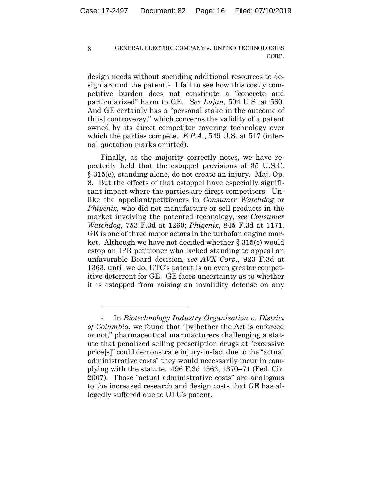design needs without spending additional resources to design around the patent.<sup>1</sup> I fail to see how this costly competitive burden does not constitute a "concrete and particularized" harm to GE. *See Lujan*, 504 U.S. at 560. And GE certainly has a "personal stake in the outcome of th[is] controversy," which concerns the validity of a patent owned by its direct competitor covering technology over which the parties compete. *E.P.A.*, 549 U.S. at 517 (internal quotation marks omitted).

Finally, as the majority correctly notes, we have repeatedly held that the estoppel provisions of 35 U.S.C. § 315(e), standing alone, do not create an injury. Maj. Op. 8. But the effects of that estoppel have especially significant impact where the parties are direct competitors. Unlike the appellant/petitioners in *Consumer Watchdog* or *Phigenix*, who did not manufacture or sell products in the market involving the patented technology, *see Consumer Watchdog*, 753 F.3d at 1260; *Phigenix*, 845 F.3d at 1171, GE is one of three major actors in the turbofan engine market. Although we have not decided whether § 315(e) would estop an IPR petitioner who lacked standing to appeal an unfavorable Board decision, *see AVX Corp.*, 923 F.3d at 1363, until we do, UTC's patent is an even greater competitive deterrent for GE. GE faces uncertainty as to whether it is estopped from raising an invalidity defense on any

<u>.</u>

<sup>1</sup> In *Biotechnology Industry Organization v. District of Columbia*, we found that "[w]hether the Act is enforced or not," pharmaceutical manufacturers challenging a statute that penalized selling prescription drugs at "excessive price[s]" could demonstrate injury-in-fact due to the "actual administrative costs" they would necessarily incur in complying with the statute. 496 F.3d 1362, 1370–71 (Fed. Cir. 2007). Those "actual administrative costs" are analogous to the increased research and design costs that GE has allegedly suffered due to UTC's patent.